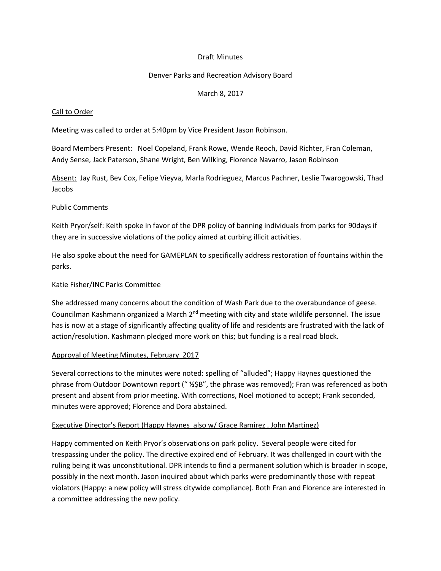## Draft Minutes

## Denver Parks and Recreation Advisory Board

## March 8, 2017

## Call to Order

Meeting was called to order at 5:40pm by Vice President Jason Robinson.

Board Members Present: Noel Copeland, Frank Rowe, Wende Reoch, David Richter, Fran Coleman, Andy Sense, Jack Paterson, Shane Wright, Ben Wilking, Florence Navarro, Jason Robinson

Absent: Jay Rust, Bev Cox, Felipe Vieyva, Marla Rodrieguez, Marcus Pachner, Leslie Twarogowski, Thad Jacobs

### Public Comments

Keith Pryor/self: Keith spoke in favor of the DPR policy of banning individuals from parks for 90days if they are in successive violations of the policy aimed at curbing illicit activities.

He also spoke about the need for GAMEPLAN to specifically address restoration of fountains within the parks.

## Katie Fisher/INC Parks Committee

She addressed many concerns about the condition of Wash Park due to the overabundance of geese. Councilman Kashmann organized a March  $2<sup>nd</sup>$  meeting with city and state wildlife personnel. The issue has is now at a stage of significantly affecting quality of life and residents are frustrated with the lack of action/resolution. Kashmann pledged more work on this; but funding is a real road block.

# Approval of Meeting Minutes, February 2017

Several corrections to the minutes were noted: spelling of "alluded"; Happy Haynes questioned the phrase from Outdoor Downtown report (" ½\$B", the phrase was removed); Fran was referenced as both present and absent from prior meeting. With corrections, Noel motioned to accept; Frank seconded, minutes were approved; Florence and Dora abstained.

### Executive Director's Report (Happy Haynes also w/ Grace Ramirez, John Martinez)

Happy commented on Keith Pryor's observations on park policy. Several people were cited for trespassing under the policy. The directive expired end of February. It was challenged in court with the ruling being it was unconstitutional. DPR intends to find a permanent solution which is broader in scope, possibly in the next month. Jason inquired about which parks were predominantly those with repeat violators (Happy: a new policy will stress citywide compliance). Both Fran and Florence are interested in a committee addressing the new policy.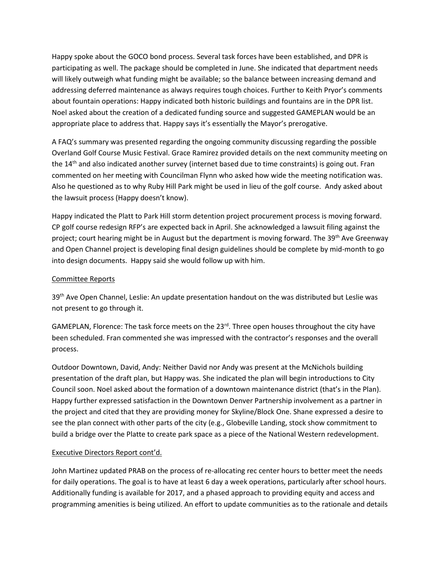Happy spoke about the GOCO bond process. Several task forces have been established, and DPR is participating as well. The package should be completed in June. She indicated that department needs will likely outweigh what funding might be available; so the balance between increasing demand and addressing deferred maintenance as always requires tough choices. Further to Keith Pryor's comments about fountain operations: Happy indicated both historic buildings and fountains are in the DPR list. Noel asked about the creation of a dedicated funding source and suggested GAMEPLAN would be an appropriate place to address that. Happy says it's essentially the Mayor's prerogative.

A FAQ's summary was presented regarding the ongoing community discussing regarding the possible Overland Golf Course Music Festival. Grace Ramirez provided details on the next community meeting on the 14<sup>th</sup> and also indicated another survey (internet based due to time constraints) is going out. Fran commented on her meeting with Councilman Flynn who asked how wide the meeting notification was. Also he questioned as to why Ruby Hill Park might be used in lieu of the golf course. Andy asked about the lawsuit process (Happy doesn't know).

Happy indicated the Platt to Park Hill storm detention project procurement process is moving forward. CP golf course redesign RFP's are expected back in April. She acknowledged a lawsuit filing against the project; court hearing might be in August but the department is moving forward. The 39<sup>th</sup> Ave Greenway and Open Channel project is developing final design guidelines should be complete by mid-month to go into design documents. Happy said she would follow up with him.

### Committee Reports

39<sup>th</sup> Ave Open Channel, Leslie: An update presentation handout on the was distributed but Leslie was not present to go through it.

GAMEPLAN, Florence: The task force meets on the  $23<sup>rd</sup>$ . Three open houses throughout the city have been scheduled. Fran commented she was impressed with the contractor's responses and the overall process.

Outdoor Downtown, David, Andy: Neither David nor Andy was present at the McNichols building presentation of the draft plan, but Happy was. She indicated the plan will begin introductions to City Council soon. Noel asked about the formation of a downtown maintenance district (that's in the Plan). Happy further expressed satisfaction in the Downtown Denver Partnership involvement as a partner in the project and cited that they are providing money for Skyline/Block One. Shane expressed a desire to see the plan connect with other parts of the city (e.g., Globeville Landing, stock show commitment to build a bridge over the Platte to create park space as a piece of the National Western redevelopment.

### Executive Directors Report cont'd.

John Martinez updated PRAB on the process of re-allocating rec center hours to better meet the needs for daily operations. The goal is to have at least 6 day a week operations, particularly after school hours. Additionally funding is available for 2017, and a phased approach to providing equity and access and programming amenities is being utilized. An effort to update communities as to the rationale and details